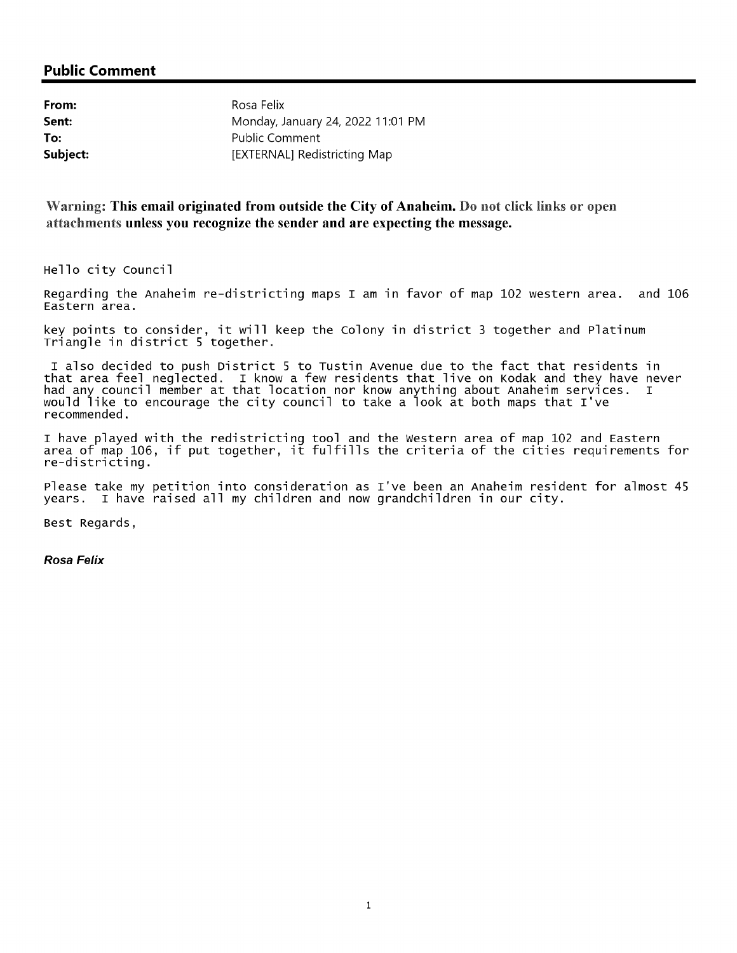### Public Comment

| From:    | Rosa Felix                        |
|----------|-----------------------------------|
| Sent:    | Monday, January 24, 2022 11:01 PM |
| To:      | <b>Public Comment</b>             |
| Subject: | [EXTERNAL] Redistricting Map      |

Warning: This email originated from outside the City of Anaheim. Do not click links or open attachments unless you recognize the sender and are expecting the message.

Hello city Council

Regarding the Anaheim re-districting maps I am in favor of map 102 western area. and 106 Eastern area.

key points to consider, it will keep the Colony in district <sup>3</sup> together and Platinum Triangle in district <sup>5</sup> together.

I also decided to push District <sup>5</sup> to Tustin Avenue due to the fact that residents in that area feel neglected. I know <sup>a</sup> few residents that live on Kodak and they have never had any council member at that location nor know anything about Anaheim services. I would like to encourage the city council to take <sup>a</sup> look at both maps that I' ve recommended.

I have played with the redistricting tool and the western area of map <sup>102</sup> and Eastern area of map 106, if put together, it fulfills the criteria of the cities requirements for re - districting.

Please take my petition into consideration as I've been an Anaheim resident for almost 45 years. I have raised all my children and now grandchildren in our city.

Best Regards,

Rosa Felix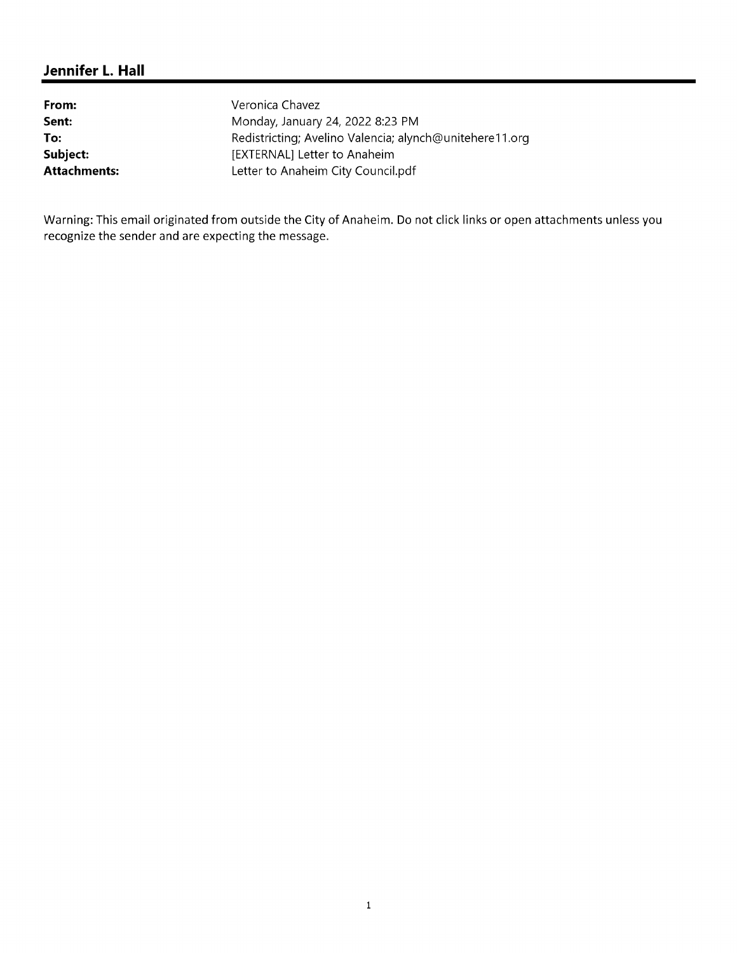# Jennifer L. Hall

| From:        | Veronica Chavez                                         |
|--------------|---------------------------------------------------------|
| Sent:        | Monday, January 24, 2022 8:23 PM                        |
| To:          | Redistricting; Avelino Valencia; alynch@unitehere11.org |
| Subject:     | [EXTERNAL] Letter to Anaheim                            |
| Attachments: | Letter to Anaheim City Council.pdf                      |

Warning: This email originated from outside the City of Anaheim. Do not click links or open attachments unless you recognize the sender and are expecting the message.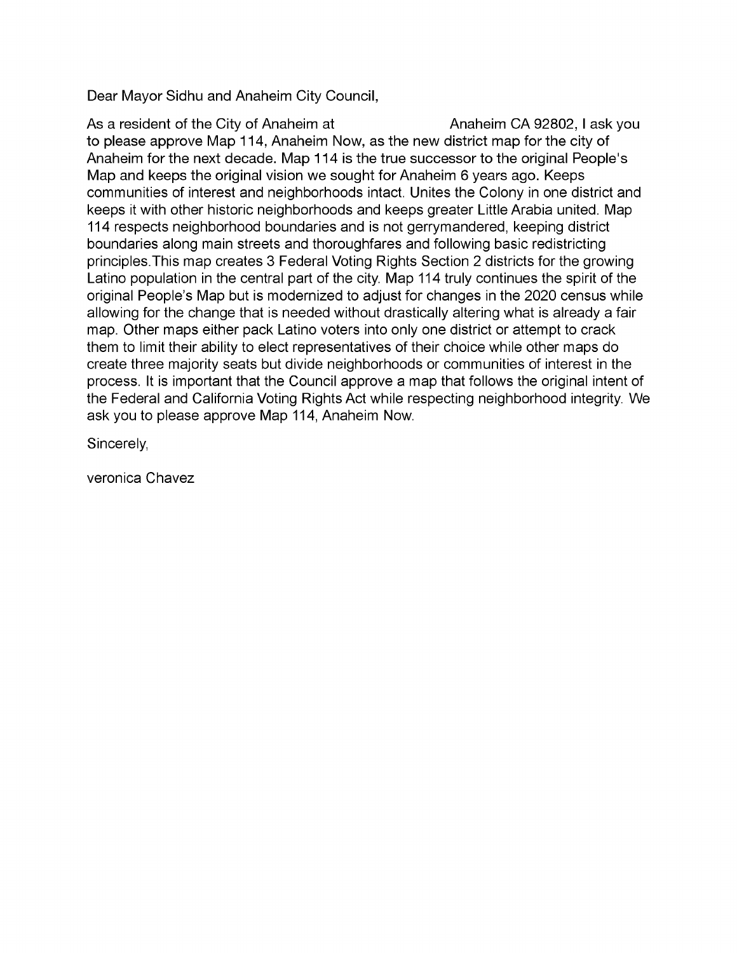Dear Mayor Sidhu and Anaheim City Council,

As a resident of the City of Anaheim at Anaheim CA 92802, I ask you to please approve Map 114, Anaheim Now, as the new district map for the city of Anaheim for the next decade. Map 114 is the true successor to the original People's Map and keeps the original vision we sought for Anaheim 6 years ago. Keeps communities of interest and neighborhoods intact. Unites the Colony in one district and keeps it with other historic neighborhoods and keeps greater Little Arabia united. Map 114 respects neighborhood boundaries and is not gerrymandered, keeping district boundaries along main streets and thoroughfares and following basic redistricting principles. This map creates 3 Federal Voting Rights Section 2 districts for the growing Latino population in the central part of the city. Map 114 truly continues the spirit of the original People's Map but is modernized to adjust for changes in the 2020 census while allowing for the change that is needed without drastically altering what is already a fair map. Other maps either pack Latino voters into only one district or attempt to crack them to limit their ability to elect representatives of their choice while other maps do create three majority seats but divide neighborhoods or communities of interest in the process. It is important that the Council approve a map that follows the original intent of the Federal and California Voting Rights Act while respecting neighborhood integrity. We ask you to please approve Map 114, Anaheim Now.

Sincerely,

veronica Chavez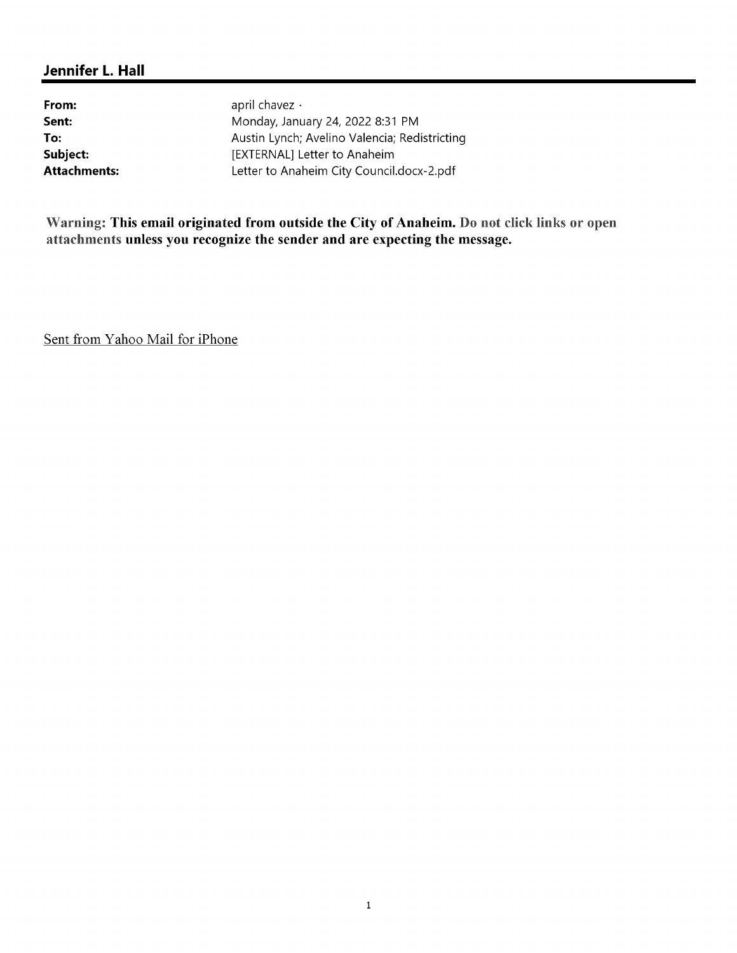## Jennifer L. Hall

From: april chavez v **Sent:** Monday, January 24, 2022 8:31 PM To: <br>
To: Austin Lynch; Avelino Valencia; Redistricting<br>
EXTERNAL] Letter to Anaheim [EXTERNAL] Letter to Anaheim Attachments: Letter to Anaheim City Council.docx-2.pdf

Warning: This email originated from outside the City of Anaheim. Do not click links or open attachments unless you recognize the sender and are expecting the message.

Sent from Yahoo Mail for iPhone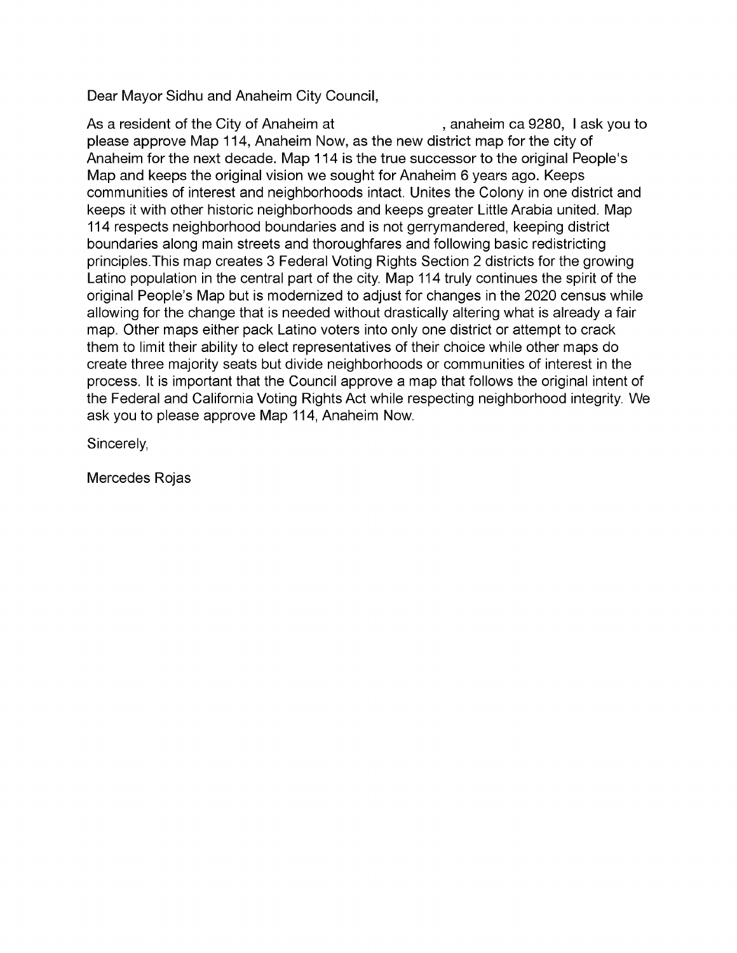Dear Mayor Sidhu and Anaheim City Council,

As a resident of the City of Anaheim at (a) anaheim ca 9280, I ask you to please approve Map 114, Anaheim Now, as the new district map for the city of Anaheim for the next decade. Map 114 is the true successor to the original People's Map and keeps the original vision we sought for Anaheim 6 years ago. Keeps communities of interest and neighborhoods intact. Unites the Colony in one district and keeps it with other historic neighborhoods and keeps greater Little Arabia united. Map 114 respects neighborhood boundaries and is not gerrymandered, keeping district boundaries along main streets and thoroughfares and following basic redistricting principles. This map creates 3 Federal Voting Rights Section 2 districts for the growing Latino population in the central part of the city. Map 114 truly continues the spirit of the original People's Map but is modernized to adjust for changes in the 2020 census while allowing for the change that is needed without drastically altering what is already a fair map. Other maps either pack Latino voters into only one district or attempt to crack them to limit their ability to elect representatives of their choice while other maps do create three majority seats but divide neighborhoods or communities of interest in the process. It is important that the Council approve a map that follows the original intent of the Federal and California Voting Rights Act while respecting neighborhood integrity. We ask you to please approve Map 114, Anaheim Now.

Sincerely,

Mercedes Rojas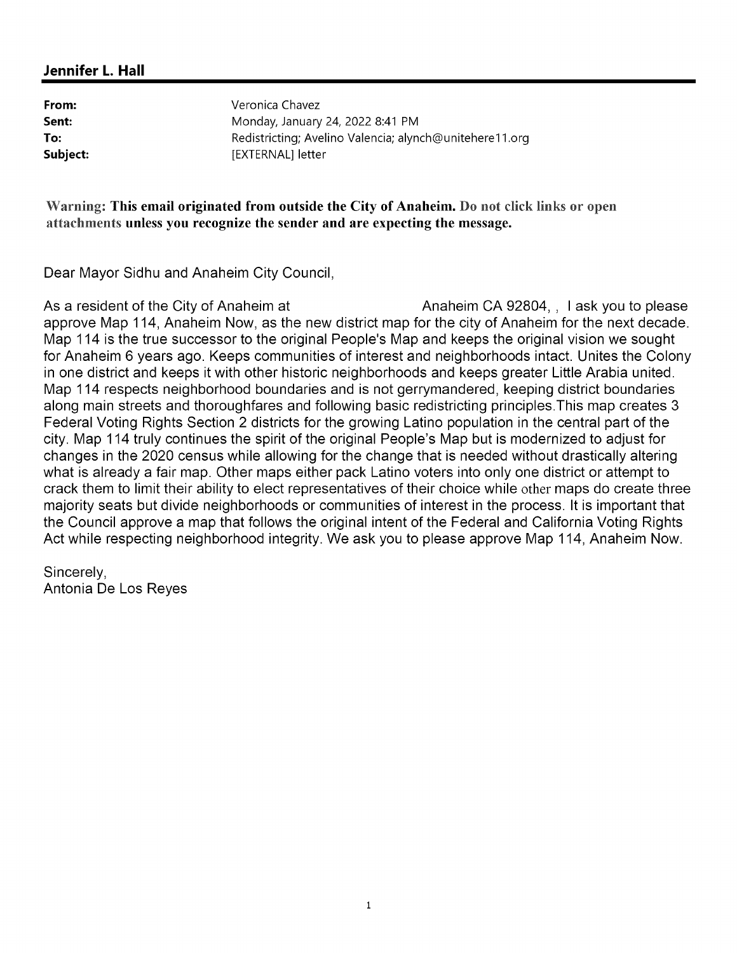## Jennifer L. Hall

From: Veronica Chavez **Sent:** Monday, January 24, 2022 8:41 PM To: The Redistricting; Avelino Valencia; alynch@unitehere11.org Subject: [EXTERNAL] letter

Warning: This email originated from outside the City of Anaheim. Do not click links or open attachments unless you recognize the sender and are expecting the message.

Dear Mayor Sidhu and Anaheim City Council,

As a resident of the City of Anaheim at Anaheim CA 92804, , I ask you to please approve Map 114, Anaheim Now, as the new district map for the city of Anaheim for the next decade. Map 114 is the true successor to the original People's Map and keeps the original vision we sought for Anaheim 6 years ago. Keeps communities of interest and neighborhoods intact. Unites the Colony in one district and keeps it with other historic neighborhoods and keeps greater Little Arabia united. Map 114 respects neighborhood boundaries and is not gerrymandered, keeping district boundaries along main streets and thoroughfares and following basic redistricting principles.This map creates 3 Federal Voting Rights Section 2 districts for the growing Latino population in the central part of the city. Map 114 truly continues the spirit of the original People's Map but is modernized to adjust for changes in the 2020 census while allowing for the change that is needed without drastically altering what is already a fair map. Other maps either pack Latino voters into only one district or attempt to crack them to limit their ability to elect representatives of their choice while other maps do create three majority seats but divide neighborhoods or communities of interest in the process. It is important that the Council approve a map that follows the original intent of the Federal and California Voting Rights Act while respecting neighborhood integrity. We ask you to please approve Map 114, Anaheim Now.

Sincerely, Antonia De Los Reyes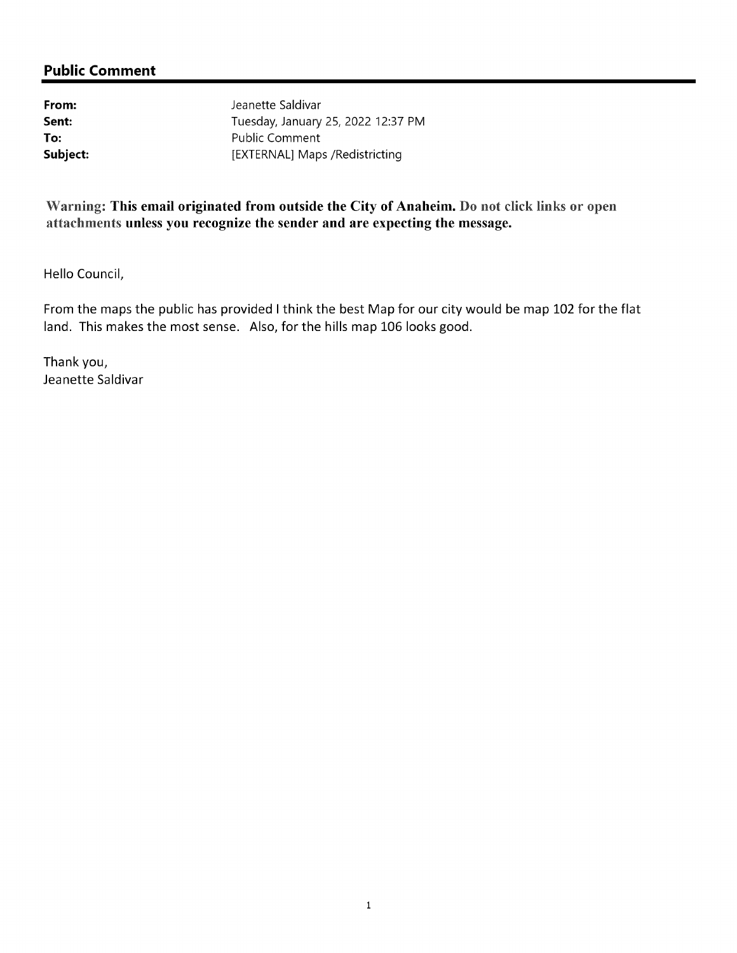**From:** Sent: Tuesday, January Sent: Tuesday, January Sent:<br>
Tuesday, January 25, 2022 12:37 PM<br>
Public Comment To:<br>
Subject:<br>
Subject:<br>
EXTERNAL] Maps /Redistricting

## Warning: This email originated from outside the City of Anaheim. Do not click links or open attachments unless you recognize the sender and are expecting the message.

Hello Council,

From the maps the public has provided I think the best Map for our city would be map 102 for the flat land. This makes the most sense. Also, for the hills map 106 looks good.

Thank you, Jeanette Saldivar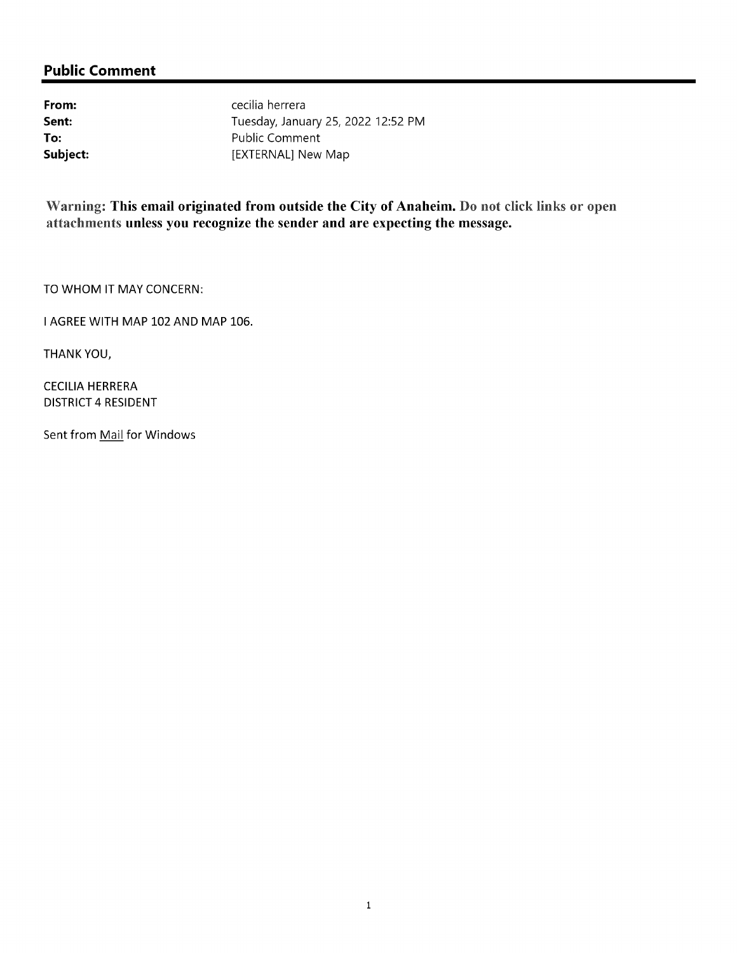## **Public Comment**

From: Callie and Contract Contract Contract Contract Contract Contract Contract Contract Contract Contract Contract Contract Contract Contract Contract Contract Contract Contract Contract Contract Contract Contract Contrac Sent:<br>
Tuesday, January 25, 2022 12:52 PM<br>
Public Comment **To:**<br>
Subject:<br>
Subject:<br>
EXTERNAL] New Map

Warning: This email originated from outside the City of Anaheim. Do not click links or open attachments unless you recognize the sender and are expecting the message.

TO WHOM IT MAY CONCERN:

I AGREE WITH MAP 102 AND MAP 106.

THANKYOU,

**CECILIA HERRERA** DISTRICT 4RESIDENT

Sent from Mail for Windows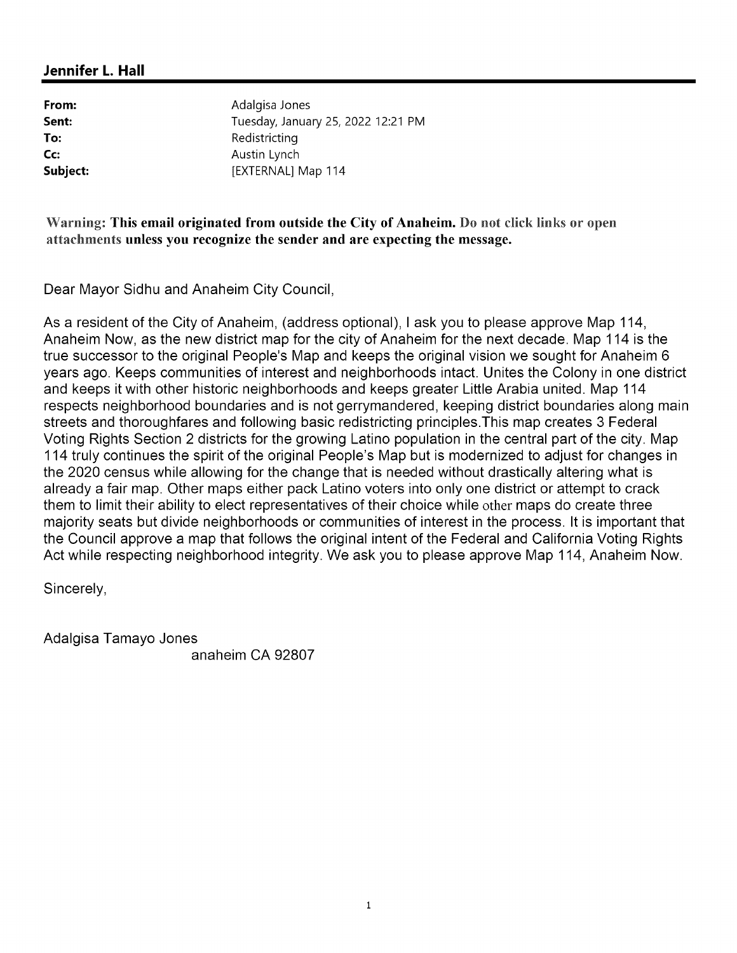From: National Adalgisa Jones Sent:<br>
Tuesday, January 25, 2022 12:21 PM<br>
Redistricting **To:** Redistricting<br> **Cc:** Austin Lynch **Cc:**<br>
Subject:<br>
Subject:
Subject:
Subject:
Subject:
Subject:
Subject:
Subject:
Subject:
Subject:
Subject:
Subject:
Subject:
Subject:
Subject:
Subject:
Subject:
Subject:
Subject:
Subject:
Subject:
Subject:
Subject:
Subject

## Warning: This email originated from outside the City of Anaheim. Do not click links or open attachments unless you recognize the sender and are expecting the message.

Dear Mayor Sidhu and Anaheim City Council,

As a resident of the City of Anaheim, (address optional), I ask you to please approve Map 114, Anaheim Now, as the new district map for the city of Anaheim for the next decade. Map 114 is the true successor to the original People's Map and keeps the original vision we sought for Anaheim 6 years ago. Keeps communities of interest and neighborhoods intact. Unites the Colony in one district and keeps it with other historic neighborhoods and keeps greater Little Arabia united. Map 114 respects neighborhood boundaries and is not gerrymandered, keeping district boundaries along main streets and thoroughfares and following basic redistricting principles. This map creates 3 Federal Voting Rights Section 2 districts for the growing Latino population in the central part of the city. Map 114 truly continues the spirit of the original People's Map but is modernized to adjust for changes in the 2020 census while allowing for the change that is needed without drastically altering what is already a fair map. Other maps either pack Latino voters into only one district or attempt to crack them to limit their ability to elect representatives of their choice while other maps do create three majority seats but divide neighborhoods or communities of interest in the process. It is important that the Council approve a map that follows the original intent of the Federal and California Voting Rights Act while respecting neighborhood integrity. We ask you to please approve Map 114, Anaheim Now.

Sincerely,

Adalgisa Tamayo Jones

anaheim CA92807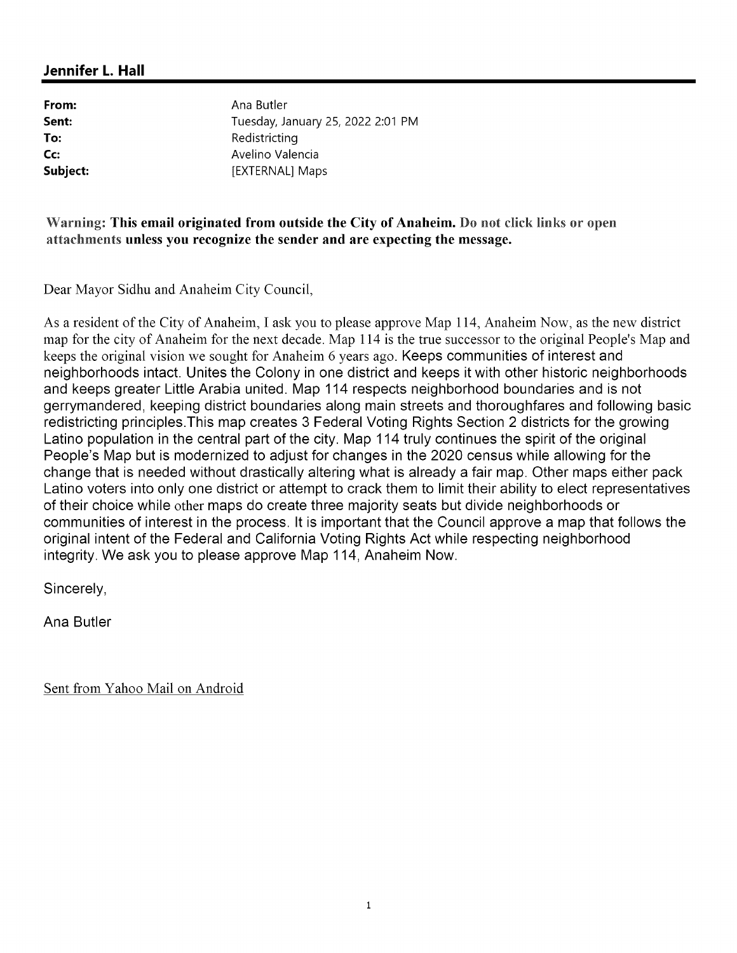From: Ana Butler Sent:<br>
Tuesday, January 25, 2022 2:01 PM<br>
Redistricting To: Redistricting<br>
City Communication Contract Avelino Valencia Collect:<br>
Subject:<br>
Subject:<br>
Subject:<br>
Subsect:<br>
Subsect:<br>
Subsect:<br>
Subsect:<br>
Subsect:<br>
Subsect:<br>
Subsect:<br>
Subsect:<br>
Subsect:<br>
Subsect:<br>
Subsect:<br>
Subsect:<br>
Subsect:<br>
Subsect:<br>
Subsect:<br>
Subsect:<br>
Subsect:<br>
Subsect:<br>
Su [EXTERNAL] Maps

## Warning: This email originated from outside the City of Anaheim. Do not click links or open attachments unless you recognize the sender and are expecting the message.

Dear Mayor Sidhu and Anaheim City Council,

As a resident of the City of Anaheim, I ask you to please approve Map 114, Anaheim Now, as the new district map for the city of Anaheim for the next decade. Map 114 is the true successor to the original People's Map and keeps the original vision we sought for Anaheim 6 years ago. Keeps communities of interest and neighborhoods intact. Unites the Colony in one district and keeps it with other historic neighborhoods and keeps greater Little Arabia united. Map 114 respects neighborhood boundaries and is not gerrymandered, keeping district boundaries along main streets and thoroughfares and following basic redistricting principles. This map creates 3 Federal Voting Rights Section 2 districts for the growing Latino population in the central part of the city. Map 114 truly continues the spirit of the original People's Map but is modernized to adjust for changes in the 2020 census while allowing for the change that is needed without drastically altering what is already a fair map. Other maps either pack Latino voters into only one district or attempt to crack them to limit their ability to elect representatives of their choice while other maps do create three majority seats but divide neighborhoods or communities of interest in the process. It is important that the Council approve a map that follows the original intent of the Federal and California Voting Rights Act while respecting neighborhood integrity. We ask you to please approve Map 114, Anaheim Now.

Sincerely,

Ana Butler

Sent from Yahoo Mail on Android